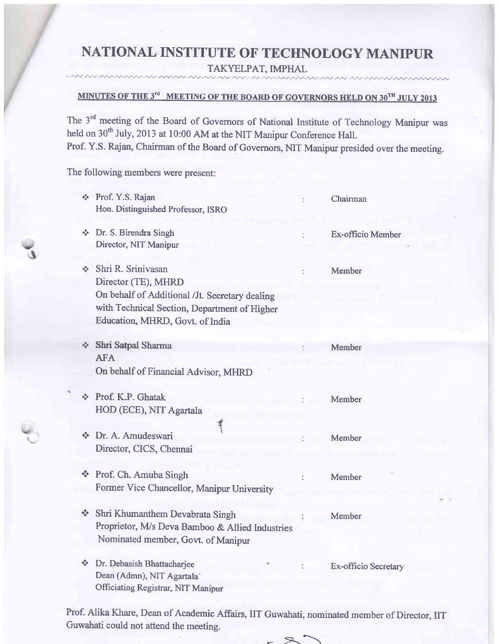# NATIONAL INSTITUTE OF TECHNOLOGY MANIPUR

 $\text{TAKYELPATH}, \text{IMPHAL}$ 

-

#### MINUTES OF THE  $3^{\mathsf{rd}}$  -MEETING OF THE BOARD OF GOVERNORS HELD ON  $30^{\mathsf{TH}}$  JULY 2013

The 3<sup>rd</sup> meeting of the Board of Governors of National Institute of Technology Manipur was held on 30<sup>th</sup> July, 2013 at 10:00 AM at the NIT Manipur Conference Hall. Prof. Y.S. Rajan, Chairman of the Board of Governors, NIT Manipur presided over the meeting.

The following members were present:

 $\sim$   $\sim$   $\sim$   $\sim$ 

| $\Phi_{\alpha}^{\Psi_{\alpha}}$               | Prof. Y.S. Rajan<br>Hon. Distinguished Professor, ISRO                                                                                                                         |   | Chairman             |
|-----------------------------------------------|--------------------------------------------------------------------------------------------------------------------------------------------------------------------------------|---|----------------------|
| ÷,                                            | Dr. S. Birendra Singh<br>Director, NIT Manipur                                                                                                                                 |   | Ex-officio Member    |
| $\mathbf{e}^{\bullet}_{\mathbf{e}}\mathbf{e}$ | Shri R. Sriniyasan<br>Director (TE), MHRD<br>On behalf of Additional /Jt. Secretary dealing<br>with Technical Section, Department of Higher<br>Education, MHRD, Govt. of India | ÷ | Member               |
| ÷.                                            | Shri Satpal Sharma<br><b>AFA</b>                                                                                                                                               |   | Member               |
| $\sigma_{\rm eff}^2$                          | On behalf of Financial Advisor, MHRD<br>Prof. K.P. Ghatak<br>HOD (ECE), NIT Agartala                                                                                           |   | Member               |
| 4.4                                           | Dr. A. Amudeswari<br>Director, CICS, Chennai                                                                                                                                   |   | Member               |
|                                               | Prof. Ch. Amuba Singh<br>Former Vice Chancellor, Manipur University                                                                                                            |   | Member               |
| $\frac{1}{2}$                                 | Shri Khumanthem Devabrata Singh<br>Proprietor, M/s Deva Bamboo & Allied Industries<br>Nominated member, Govt. of Manipur                                                       |   | Member               |
| 察                                             | Dr. Debasish Bhattacharjee<br>Dean (Admn), NIT Agartala <sup>-</sup><br><b>Officiating Registrar, NIT Manipur</b>                                                              |   | Ex-officio Secretary |

Prof. Alika Khare, Dean of Academic Affairs, IIT Guwahati, nominated member of Director, IIT Guwahati could not attend the meeting.

 $R_{\rm r}$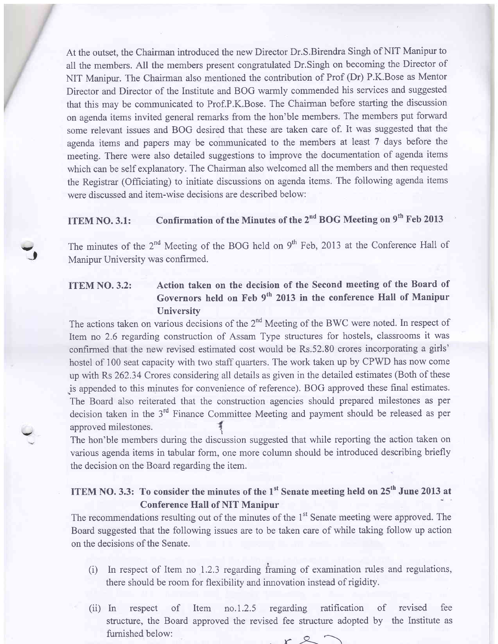At the outset, the Chairman introduced the new Director Dr.S.Birendra Singh of NIT Manipur to all the members. All the members present congratulated Dr.Singh on becoming the Director of NIT Manipur. The Chairman also mentioned the contribution of Prof (Dr) P.K.Bose as Mentor Director and Director of the Institute and BOG warmly commended his services and suggested that this may be communicated to Prof.P.K.Bose. The Chairman before starting the discussion on agenda items invited general remarks from the hon'ble members. The members put forward some relevant issues and BOG desired that these are taken care of. It was suggested that the agenda items and papers may be communicated to the members at least 7 days before the meeting. There were also detailed suggestions to improve the documentation of agenda items which can be self explanatory. The Chairman also welcomed all the members and then requested the Registrar (Officiating) to initiate discussions on agenda items. The following agenda items were discussed and item-wise decisions are described below:

#### ITEM NO. 3.1: Confirmation of the Minutes of the  $2<sup>nd</sup>$  BOG Meeting on  $9<sup>th</sup>$  Feb 2013

The minutes of the 2<sup>nd</sup> Meeting of the BOG held on 9<sup>th</sup> Feb, 2013 at the Conference Hall of Manipur University was confirmed.

 $J$ 

#### ITEM NO. 3.2: Action taken on the decision of the Second meeting of the Board of Governors held on Feb 9<sup>th</sup> 2013 in the conference Hall of Manipur **University**

The actions taken on various decisions of the  $2<sup>nd</sup>$  Meeting of the BWC were noted. In respect of Item no 2.6 rcgarding construction of Assam Type structures for hostels, classrooms it was confirmed that the new revised estimated cost would be Rs.52.80 crores incorporating a girls' hostel of 100 seat capacity with two staff quarters. The work taken up by CPWD has now come up with Rs 262.34 Crores considering all details as given in the detailed estimates (Both of these .is appended to this minutes for convenience of reference). BOG approved these final estimates. The Board also reiterated that the construction agencies should prepared milestones as per decision taken in the 3'd Finance Committee Meeting and payment should be released as per approved milestones.

The hon'ble members during the discussion suggested that while reporting the action taken on various agenda items in tabular form, one more column should be introduced describing briefly the decision on the Board regarding the item.

#### ITEM NO. 3.3: To consider the minutes of the  $1<sup>st</sup>$  Senate meeting held on  $25<sup>th</sup>$  June 2013 at Conference Hall of NIT Manipur

The recommendations resulting out of the minutes of the 1<sup>st</sup> Senate meeting were approved. The Board suggested that the foilowing issues are to be taken care of while taking follow up action on the decisions of the Senate.

- $(i)$  In respect of Item no 1.2.3 regarding framing of examination rules and regulations, there should be room for flexibiliry and innovation instead of rigidity.
- (ii) In respect of structure, the Board approved the revised fee structure adopted by the Institute as furnished below: Item no.1.2.5 regarding ratification of revised fee  $r$  2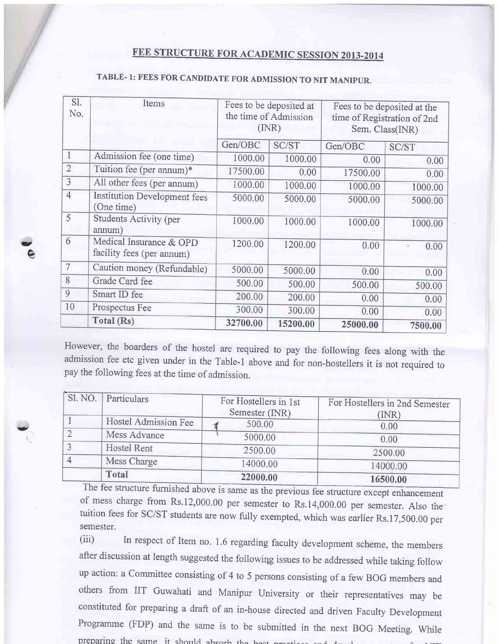# FEE STRUCTURE FOR ACADEMIC SESSION 2013-2014

| Sl.<br>No.     | Items                                                | Fees to be deposited at<br>the time of Admission<br>(MR) |          | Fees to be deposited at the<br>time of Registration of 2nd<br>Sem. Class(INR) |         |
|----------------|------------------------------------------------------|----------------------------------------------------------|----------|-------------------------------------------------------------------------------|---------|
|                |                                                      | Gen/OBC                                                  | SC/ST    | Gen/OBC                                                                       | SC/ST   |
| $\mathbf{1}$   | Admission fee (one time)                             | 1000.00                                                  | 1000.00  | 0.00                                                                          | 0.00    |
| $\overline{2}$ | Tuition fee (per annum)*                             | 17500.00                                                 | 0.00     | 17500.00                                                                      | 0.00    |
| 3              | All other fees (per annum)                           | 1000.00                                                  | 1000.00  | 1000.00                                                                       | 1000.00 |
| $\overline{4}$ | <b>Institution Development fees</b><br>(One time)    | 5000.00                                                  | 5000.00  | 5000.00                                                                       | 5000.00 |
| 5              | <b>Students Activity (per</b><br>annum)              | 1000.00                                                  | 1000.00  | 1000.00                                                                       | 1000.00 |
| 6              | Medical Insurance & OPD<br>facility fees (per annum) | 1200.00                                                  | 1200.00  | 0.00                                                                          | 0.00    |
| $\overline{7}$ | Caution money (Refundable)                           | 5000.00                                                  | 5000.00  | 0.00                                                                          | 0.00    |
| 8              | Grade Card fee                                       | 500.00                                                   | 500.00   | 500.00                                                                        | 500.00  |
| 9              | Smart ID fee                                         | 200.00                                                   | 200.00   | 0.00                                                                          | 0.00    |
| 10             | Prospectus Fee                                       | 300.00                                                   | 300.00   | 0.00                                                                          | 0.00    |
|                | Total (Rs)                                           | 32700.00                                                 | 15200.00 | 25000.00                                                                      | 7500.00 |

ta, A ts

aj

# TABLE- 1: FEES FOR CANDIDATE FoR ADMISSION To NIT MANIPUR.

However, the boarders of the hostel are required to pay the following fees along with the admission fee etc given under in the Table-1 above and for non-hostellers it is not required to pay the following fees at the time of admission.

| Sl. NO. | Particulars          |                       |                                |  |
|---------|----------------------|-----------------------|--------------------------------|--|
|         |                      | For Hostellers in 1st | For Hostellers in 2nd Semester |  |
|         |                      | Semester (INR)        | (INR)                          |  |
|         | Hostel Admission Fee | 500.00                | 0.00                           |  |
|         | Mess Advance         | 5000.00               | 0.00                           |  |
|         | <b>Hostel Rent</b>   |                       |                                |  |
|         |                      | 2500.00               | 2500.00                        |  |
|         | Mess Charge          | 14000.00              | 14000.00                       |  |
|         | <b>Total</b>         | 22000.00              |                                |  |
|         |                      |                       | 16500.00                       |  |

The fee structure furnished abo of mess charge from Rs.12,000.00 per semester to Rs.14,000.00 per semester. Also the tuition fees for SC/ST students are now fully exempted, which was earlier Rs.17,500.00 per semester.

(iii) In respect of Item no. 1.6 regarding faculty development scheme, the members after discussion at length suggested the following issues to be addressed while taking follow up action: a Committee consisting of 4 to 5 persons consisting of a few BoG members and others from IIT Guwahati and Manipur University or their representatives may be constituted for preparing a draft of an in-house directed and driven Faculty Development Programme (FDP) and the same is to be submitted in the next BOG Meeting. While preparing the same it should absorb the heat nucleose and devel-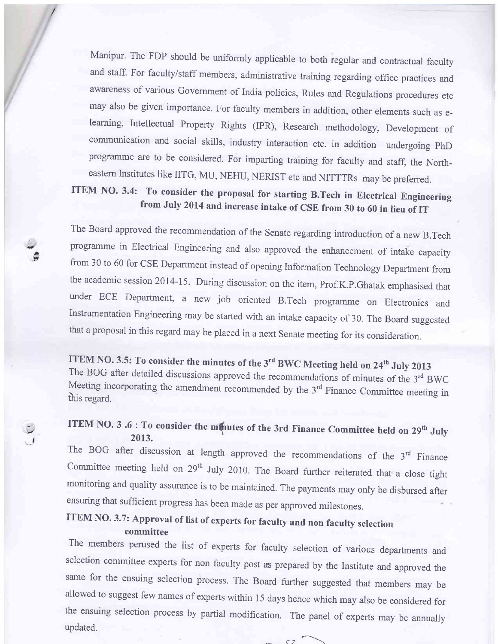Manipur. The FDP should be uniformly applicable to both regular and contractual faculty and staff. For faculty/staff members, administrative training regarding office practices and awareness of various Government of India policies, Rules and Regulations procedures etc may also be given importance. For faculty members in addition, other elements such as elearning, Intellectual Property Rights (IPR), Research methodology, Development of communication and social skills, industry interaction etc. in addition undergoing phD programme are to be considered. For imparting training for faculty and staff, the Northeastern Institutes like IITG, MU, NEHU, NERIST etc and NITTTRs may be preferred.

# ITEM NO. 3.4: To consider the proposal for starting B.Tech in Electrical Engineering from July 2014 and increase intake of CSE from 30 to 60 in lieu of IT

The Board approved the recommendation of the Senate regarding introduction of a new B.Tech prograrnme in Electrical Engineering and also approved the enhancement of intake capacity from 30 to 60 for cSE Department instead of opening Information Technology Department from the academic session 2014-15. During discussion on the item, prof.K.p.Ghatak emphasised that under ECE Department, a new job oriented B.Tech prograrnme on Electronics and lnstrumentation Engineering may be started with an intake capacity of 30. The Board suggested that a proposal in this regard may be placed in a next Senate meeting for its consideration.

A .v

 $\overline{1}$ , **ITEM NO. 3.5: To consider the minutes of the 3<sup>rd</sup> BWC Meeting held on 24<sup>th</sup> July 2013<br>The BOG after detailed discussions approved the recommendations of minutes of the 3<sup>rd</sup> BWC<br>Meeting incorporating the amendment reco** 

#### ITEM NO. 3 .6 : To consider the minutes of the 3rd Finance Committee held on 29<sup>th</sup> July 2013.

The BOG after discussion at length approved the recommendations of the  $3<sup>rd</sup>$  Finance Committee meeting held on 29<sup>th</sup> July 2010. The Board further reiterated that a close tight monitoring and quality assurance is to be maintained. The payments may only be disbursed after ensuring that sufficient progress has been made as per approved milestones

#### ITEM NO. 3.7: Approval of list of experts for faculty and non faculty selection committee

The members perused the list of experts for faculty selection of various departments and selection committee experts for non faculty post as prepared by the Institute and approved the same for the ensuing selection process. The Board further suggested that members may be allowed to suggest few names of experts within 15 days hence which may also be considered for the ensuing selection process by partial modification. The panel of experts may be annually updated.

 $\sim$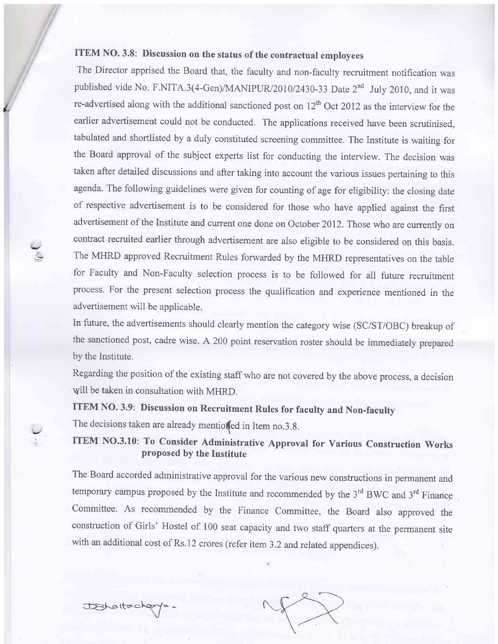# ITEM NO. 3.8: Discussion on the status of the contractual employees

L

The Director apprised the Board that, the faculty and non-faculty recruitment notification was published vide No. F.NITA.3(4-Gen)/MANIPUR/2010/2430-33 Date 2<sup>nd</sup> July 2010, and it was re-advertised along with the additional sanctioned post on  $12<sup>th</sup>$  Oct 2012 as the interview for the earlier advertisement could not be conducted. The applications received have been scrutinised, tabulated and shortlisted by a duly constituted screening committee. The Institute is waiting for the Board approval of the subject experts list for conducting the interview. The decision was taken after detailed discussions and after taking into account the various issues pertaining to this agenda. The following guidelines were given for counting of age for eligibility: the closing date of respective advertisement is to be considered for those who have applied against the first advertisement of the Institute and current one done on October 2012. Those who are currently on contract recruited earlier through advertisement are also eligible to be considered on this basis. The MHRD approved Recruitment Rules forwarded by the MHRD representatives on the table for Faculty and Non-Faculty selection process is to be followed for all future recruitment process. For the present selection process the qualification and experience mentioned in the advertisement will be applicable.

In future, the advertisements should clearly mention the category wise (SC/ST/OBC) breakup of the sanctioned post, cadre wise. A 200 point reservation roster should be immediately prepared by the lnstitute.

Regarding the position of the existing staff who are not covered by the above process, a decision will be taken in consultation with MHRD.

# ITEM NO.3.9: Discussion on Recruitment Rules for faculty and Non-faculty

The decisions taken are already mentioffed in Item no.3.8.

ITEM NO.3.10: To Consider Administrative Approval for Various Construction Works proposed by the Institute

The Board accorded administrative approval for the various new constructions in permanent and temporary campus proposed by the Institute and recommended by the  $3<sup>rd</sup>$  BWC and  $3<sup>rd</sup>$  Finance Committee. As recommended by the Finance Committee, the Board also approved the construction of Girls' Hostel of 100 seat capacity and two staff quarters at the permanent site with an additional cost of Rs.12 crores (refer item 3.2 and related appendices).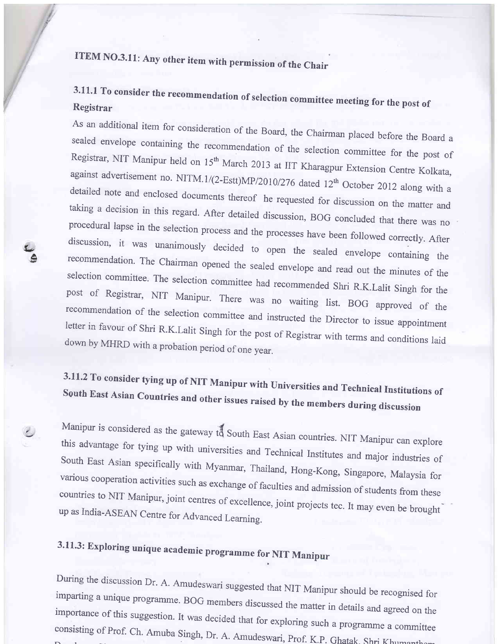# ITEM NO.3.11: Any other item with permission of the Chair

/

a. A.

#### 3.11.1 To consider the recommendation Registrar of selection committee meeting for the post of

As an additional item for consideration of the Board, the Chairman placed before the Board a sealed envelope containing the recommendation of the selection committee for the post of Registrar, NIT Manipur held on 15<sup>th</sup> March 2013 at IIT Kharagpur Extension Centre Kolkata, against advertisement no. NITM.1/(2-Estt)MP/2010/276 dated 12<sup>th</sup> October 2012 along with a detaiied 12ft october 2012 along with a note and enclosed documents thereof he requested for discussion on the matter and taking a decision in this regard. After detailed discussion, BOG concluded that there was no procedural lapse in the selection process and the processes have been followed correctly. After discussion, procedural lapse in the selection process and the processes have been followed correctly. After<br>discussion, it was unanimously decided to open the sealed envelope containing the<br>recommendation. The Chairman opened the seal post of selection committee. The selection committee had recommended Shri R.K.Lalit Singh for the recommendation recommendation of the selection committee and instructed the Director to issue appointment<br>letter in favour of Shri R.K.Lalit Singh for the post of Registrar with terms and conditions laid<br>down by MHRD with a probation per

# 3.11.2 To consider tying up of NIT Manipur with Universities and Technical Institutions of<br>South East Asian Countries and other issues raised by the members during discussion

Manipur is considered as the gateway this this advantage for tying up with universities and Technical Institutes and major industries of South East Asian specifically with Myanmar, Thailand, Hong-Kong, Singapore, Malaysia for<br>various cooperation activities such as exchange of faculties and admission of students from these<br>countries to NIT Manipur, joint cen up as India-ASEAN Centre for Advanced Learning. countries to NIT Manipur, joint centres of excellence, joint projects tec. It may even be brought

# 3.11.3: Exploring unique academic programme for NIT Manipur

During the discussion Dr. A. Amudeswari suggested that NIT Manipur should be recognised for imparting a unique programme. BOG members discussed the matter in details and agreed on the importance of this suggestion. It was decided that for exploring such a programme a committee consisting of Prof. Ch. Amuba Singh, Dr. A. Amudeswari, Prof. K.p. Ghatak- Shri Khumantham